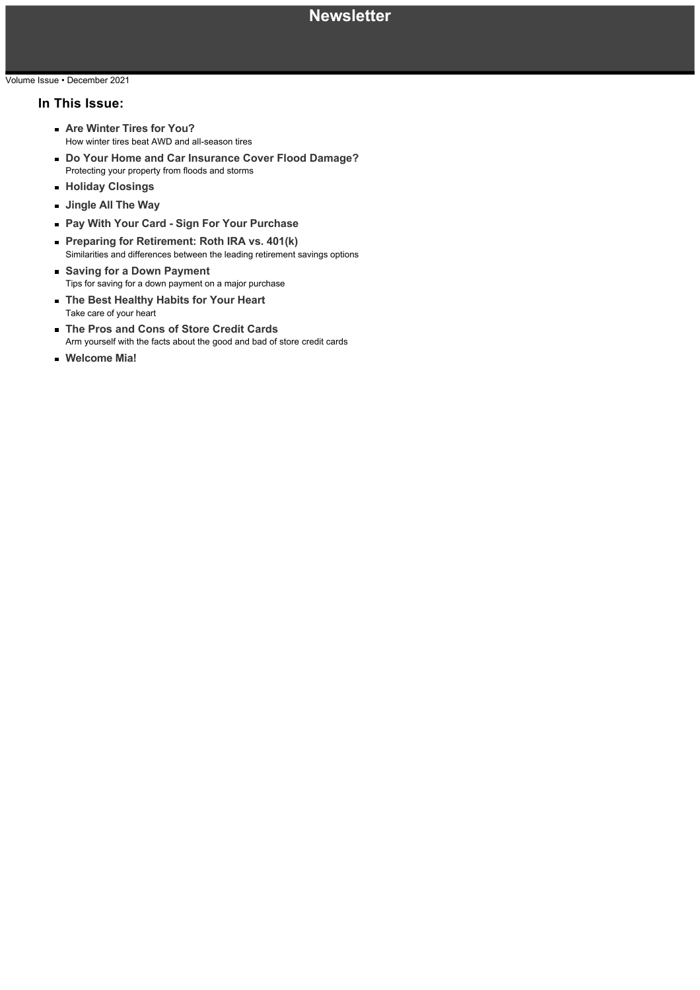### Volume Issue • December 2021

### **In This Issue:**

- **Are Winter Tires for You?** How winter tires beat AWD and all-season tires
- **Do Your Home and Car Insurance Cover Flood Damage?** Protecting your property from floods and storms
- **Holiday Closings**
- **Jingle All The Way**
- **Pay With Your Card Sign For Your Purchase**
- **Preparing for Retirement: Roth IRA vs. 401(k)** Similarities and differences between the leading retirement savings options
- **Saving for a Down Payment** Tips for saving for a down payment on a major purchase
- **The Best Healthy Habits for Your Heart** Take care of your heart
- **The Pros and Cons of Store Credit Cards** Arm yourself with the facts about the good and bad of store credit cards
- **Welcome Mia!**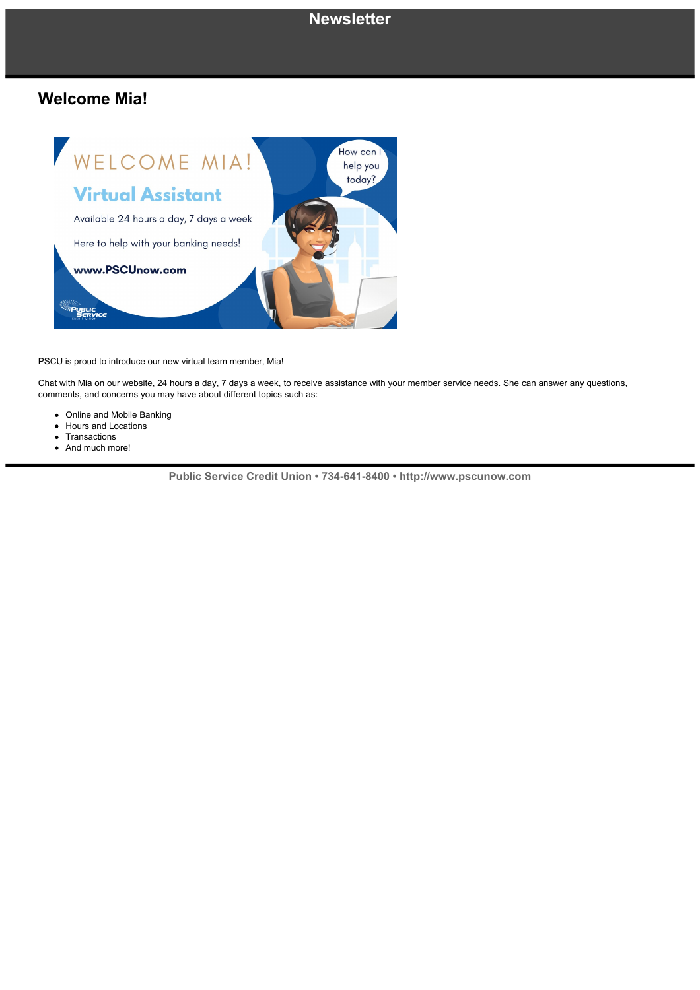### **Newsletter**

### **Welcome Mia!**



PSCU is proud to introduce our new virtual team member, Mia!

Chat with Mia on our website, 24 hours a day, 7 days a week, to receive assistance with your member service needs. She can answer any questions, comments, and concerns you may have about different topics such as:

- Online and Mobile Banking
- $\bullet$ Hours and Locations
- **Transactions**  $\bullet$
- And much more!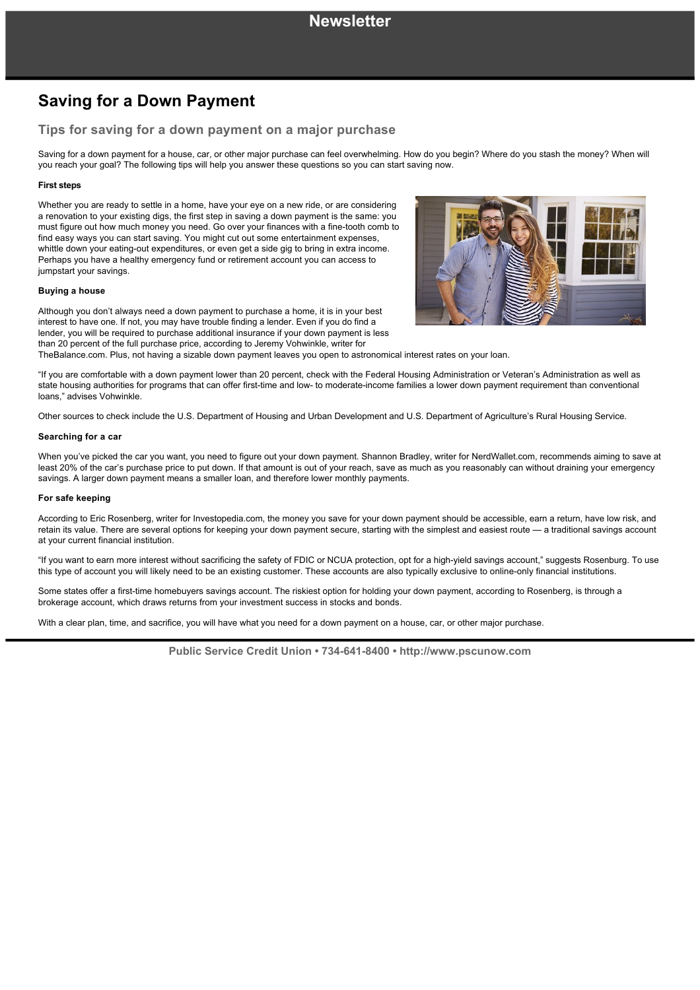# **Saving for a Down Payment**

### **Tips for saving for a down payment on a major purchase**

Saving for a down payment for a house, car, or other major purchase can feel overwhelming. How do you begin? Where do you stash the money? When will you reach your goal? The following tips will help you answer these questions so you can start saving now.

### **First steps**

Whether you are ready to settle in a home, have your eye on a new ride, or are considering a renovation to your existing digs, the first step in saving a down payment is the same: you must figure out how much money you need. Go over your finances with a fine-tooth comb to find easy ways you can start saving. You might cut out some entertainment expenses, whittle down your eating-out expenditures, or even get a side gig to bring in extra income. Perhaps you have a healthy emergency fund or retirement account you can access to jumpstart your savings.

### **Buying a house**

Although you don't always need a down payment to purchase a home, it is in your best interest to have one. If not, you may have trouble finding a lender. Even if you do find a lender, you will be required to purchase additional insurance if your down payment is less than 20 percent of the full purchase price, according to Jeremy Vohwinkle, writer for



TheBalance.com. Plus, not having a sizable down payment leaves you open to astronomical interest rates on your loan.

"If you are comfortable with a down payment lower than 20 percent, check with the Federal Housing Administration or Veteran's Administration as well as state housing authorities for programs that can offer first-time and low- to moderate-income families a lower down payment requirement than conventional loans," advises Vohwinkle.

Other sources to check include the U.S. Department of Housing and Urban Development and U.S. Department of Agriculture's Rural Housing Service.

#### **Searching for a car**

When you've picked the car you want, you need to figure out your down payment. Shannon Bradley, writer for NerdWallet.com, recommends aiming to save at least 20% of the car's purchase price to put down. If that amount is out of your reach, save as much as you reasonably can without draining your emergency savings. A larger down payment means a smaller loan, and therefore lower monthly payments.

### **For safe keeping**

According to Eric Rosenberg, writer for Investopedia.com, the money you save for your down payment should be accessible, earn a return, have low risk, and retain its value. There are several options for keeping your down payment secure, starting with the simplest and easiest route — a traditional savings account at your current financial institution.

"If you want to earn more interest without sacrificing the safety of FDIC or NCUA protection, opt for a high-yield savings account," suggests Rosenburg. To use this type of account you will likely need to be an existing customer. These accounts are also typically exclusive to online-only financial institutions.

Some states offer a first-time homebuyers savings account. The riskiest option for holding your down payment, according to Rosenberg, is through a brokerage account, which draws returns from your investment success in stocks and bonds.

With a clear plan, time, and sacrifice, you will have what you need for a down payment on a house, car, or other major purchase.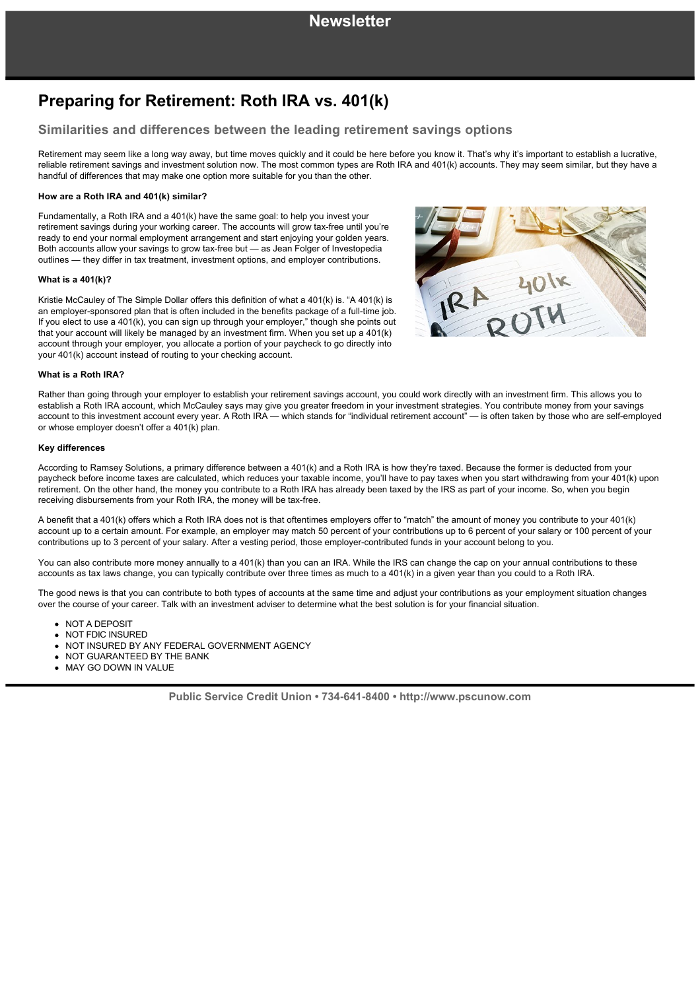# **Preparing for Retirement: Roth IRA vs. 401(k)**

### **Similarities and differences between the leading retirement savings options**

Retirement may seem like a long way away, but time moves quickly and it could be here before you know it. That's why it's important to establish a lucrative, reliable retirement savings and investment solution now. The most common types are Roth IRA and 401(k) accounts. They may seem similar, but they have a handful of differences that may make one option more suitable for you than the other.

### **How are a Roth IRA and 401(k) similar?**

Fundamentally, a Roth IRA and a 401(k) have the same goal: to help you invest your retirement savings during your working career. The accounts will grow tax-free until you're ready to end your normal employment arrangement and start enjoying your golden years. Both accounts allow your savings to grow tax-free but - as Jean Folger of Investopedia outlines — they differ in tax treatment, investment options, and employer contributions.

### **What is a 401(k)?**

Kristie McCauley of The Simple Dollar offers this definition of what a 401(k) is. "A 401(k) is an employer-sponsored plan that is often included in the benefits package of a full-time job. If you elect to use a 401(k), you can sign up through your employer," though she points out that your account will likely be managed by an investment firm. When you set up a 401(k) account through your employer, you allocate a portion of your paycheck to go directly into your 401(k) account instead of routing to your checking account.



#### **What is a Roth IRA?**

Rather than going through your employer to establish your retirement savings account, you could work directly with an investment firm. This allows you to establish a Roth IRA account, which McCauley says may give you greater freedom in your investment strategies. You contribute money from your savings account to this investment account every year. A Roth IRA — which stands for "individual retirement account" — is often taken by those who are selfemployed or whose employer doesn't offer a 401(k) plan.

#### **Key differences**

According to Ramsey Solutions, a primary difference between a 401(k) and a Roth IRA is how they're taxed. Because the former is deducted from your paycheck before income taxes are calculated, which reduces your taxable income, you'll have to pay taxes when you start withdrawing from your 401(k) upon retirement. On the other hand, the money you contribute to a Roth IRA has already been taxed by the IRS as part of your income. So, when you begin receiving disbursements from your Roth IRA, the money will be tax-free.

A benefit that a 401(k) offers which a Roth IRA does not is that oftentimes employers offer to "match" the amount of money you contribute to your 401(k) account up to a certain amount. For example, an employer may match 50 percent of your contributions up to 6 percent of your salary or 100 percent of your contributions up to 3 percent of your salary. After a vesting period, those employer-contributed funds in your account belong to you.

You can also contribute more money annually to a 401(k) than you can an IRA. While the IRS can change the cap on your annual contributions to these accounts as tax laws change, you can typically contribute over three times as much to a 401(k) in a given year than you could to a Roth IRA.

The good news is that you can contribute to both types of accounts at the same time and adjust your contributions as your employment situation changes over the course of your career. Talk with an investment adviser to determine what the best solution is for your financial situation.

- NOT A DEPOSIT
- NOT FDIC INSURED
- . NOT INSURED BY ANY FEDERAL GOVERNMENT AGENCY
- NOT GUARANTEED BY THE BANK
- MAY GO DOWN IN VALUE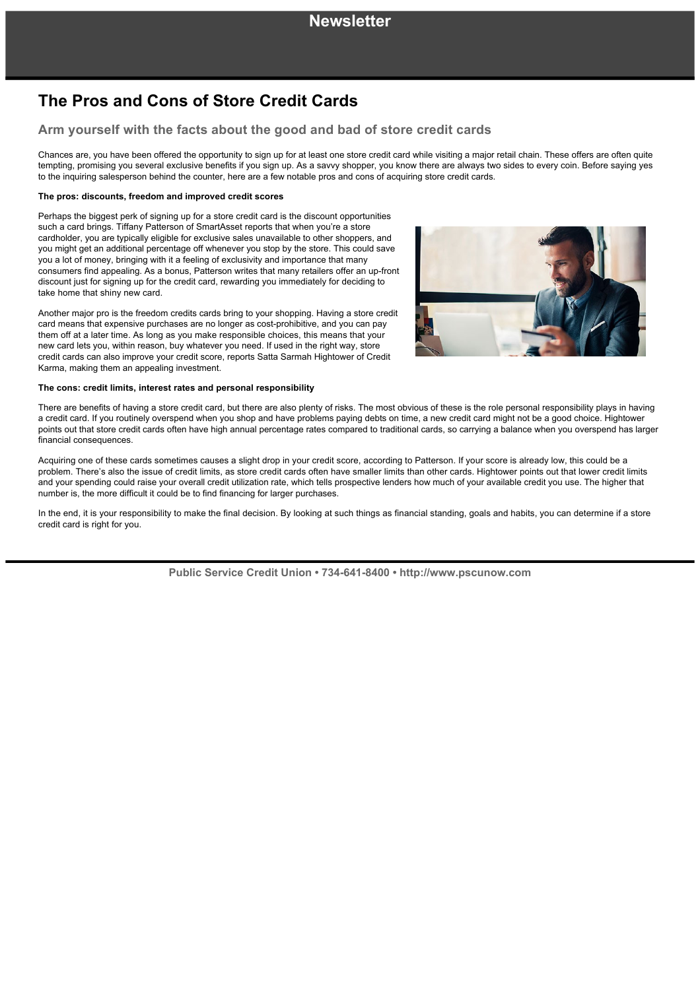# **The Pros and Cons of Store Credit Cards**

### **Arm yourself with the facts about the good and bad of store credit cards**

Chances are, you have been offered the opportunity to sign up for at least one store credit card while visiting a major retail chain. These offers are often quite tempting, promising you several exclusive benefits if you sign up. As a savvy shopper, you know there are always two sides to every coin. Before saying yes to the inquiring salesperson behind the counter, here are a few notable pros and cons of acquiring store credit cards.

### **The pros: discounts, freedom and improved credit scores**

Perhaps the biggest perk of signing up for a store credit card is the discount opportunities such a card brings. Tiffany Patterson of SmartAsset reports that when you're a store cardholder, you are typically eligible for exclusive sales unavailable to other shoppers, and you might get an additional percentage off whenever you stop by the store. This could save you a lot of money, bringing with it a feeling of exclusivity and importance that many consumers find appealing. As a bonus, Patterson writes that many retailers offer an upfront discount just for signing up for the credit card, rewarding you immediately for deciding to take home that shiny new card.

Another major pro is the freedom credits cards bring to your shopping. Having a store credit card means that expensive purchases are no longer as cost-prohibitive, and you can pay them off at a later time. As long as you make responsible choices, this means that your new card lets you, within reason, buy whatever you need. If used in the right way, store credit cards can also improve your credit score, reports Satta Sarmah Hightower of Credit Karma, making them an appealing investment.

#### **The cons: credit limits, interest rates and personal responsibility**



There are benefits of having a store credit card, but there are also plenty of risks. The most obvious of these is the role personal responsibility plays in having a credit card. If you routinely overspend when you shop and have problems paying debts on time, a new credit card might not be a good choice. Hightower points out that store credit cards often have high annual percentage rates compared to traditional cards, so carrying a balance when you overspend has larger financial consequences.

Acquiring one of these cards sometimes causes a slight drop in your credit score, according to Patterson. If your score is already low, this could be a problem. There's also the issue of credit limits, as store credit cards often have smaller limits than other cards. Hightower points out that lower credit limits and your spending could raise your overall credit utilization rate, which tells prospective lenders how much of your available credit you use. The higher that number is, the more difficult it could be to find financing for larger purchases.

In the end, it is your responsibility to make the final decision. By looking at such things as financial standing, goals and habits, you can determine if a store credit card is right for you.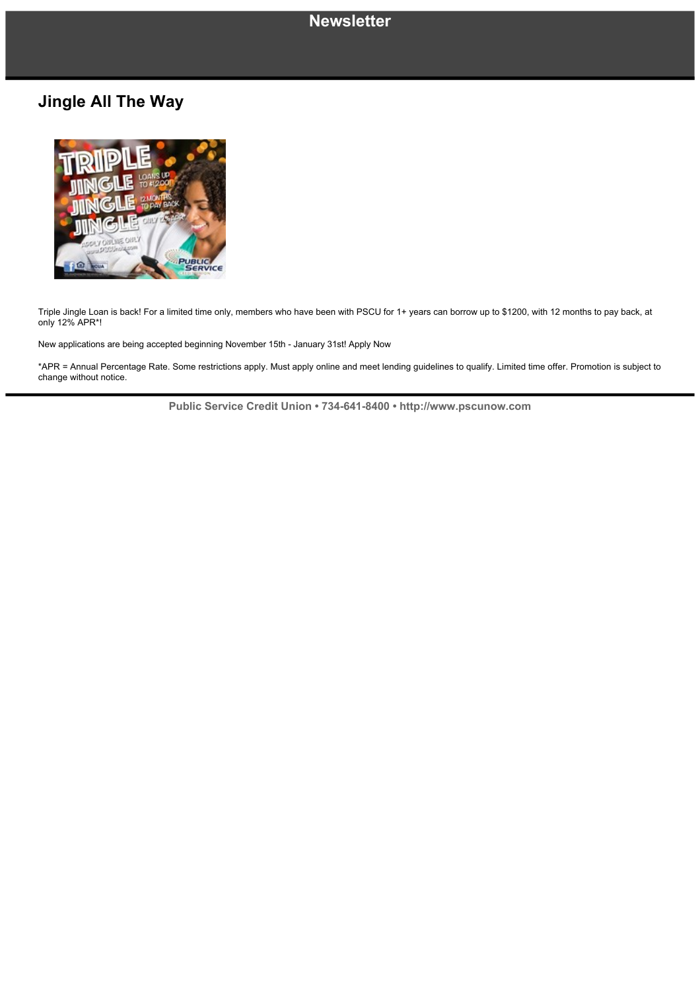## **Newsletter**

# **Jingle All The Way**



Triple Jingle Loan is back! For a limited time only, members who have been with PSCU for 1+ years can borrow up to \$1200, with 12 months to pay back, at only 12% APR\*!

New applications are being accepted beginning November 15th January 31st! Apply Now

\*APR = Annual Percentage Rate. Some restrictions apply. Must apply online and meet lending guidelines to qualify. Limited time offer. Promotion is subject to change without notice.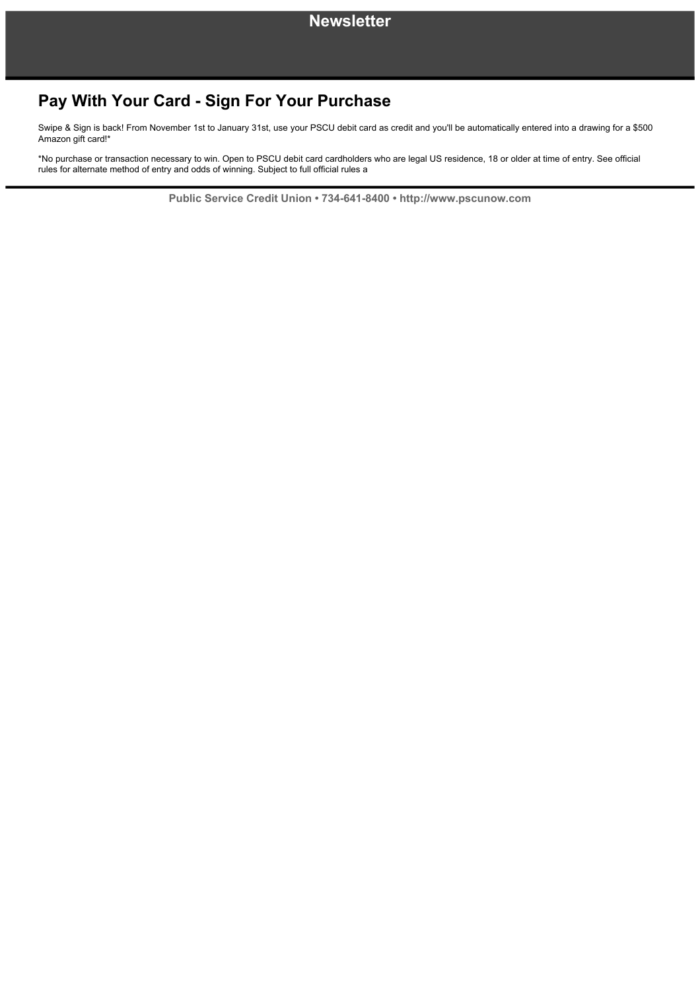# **Pay With Your Card - Sign For Your Purchase**

Swipe & Sign is back! From November 1st to January 31st, use your PSCU debit card as credit and you'll be automatically entered into a drawing for a \$500 Amazon gift card!\*

\*No purchase or transaction necessary to win. Open to PSCU debit card cardholders who are legal US residence, 18 or older at time of entry. See official rules for alternate method of entry and odds of winning. Subject to full official rules a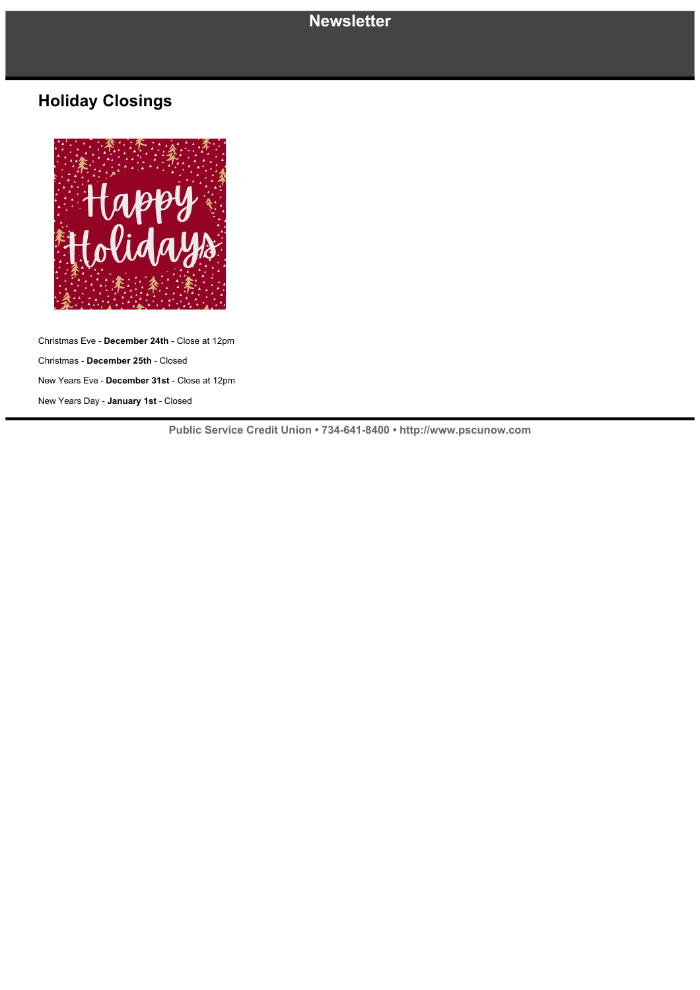### **Newsletter**

# **Holiday Closings**



Christmas Eve **December 24th** Close at 12pm Christmas **December 25th** Closed New Years Eve - December 31st - Close at 12pm New Years Day - January 1st - Closed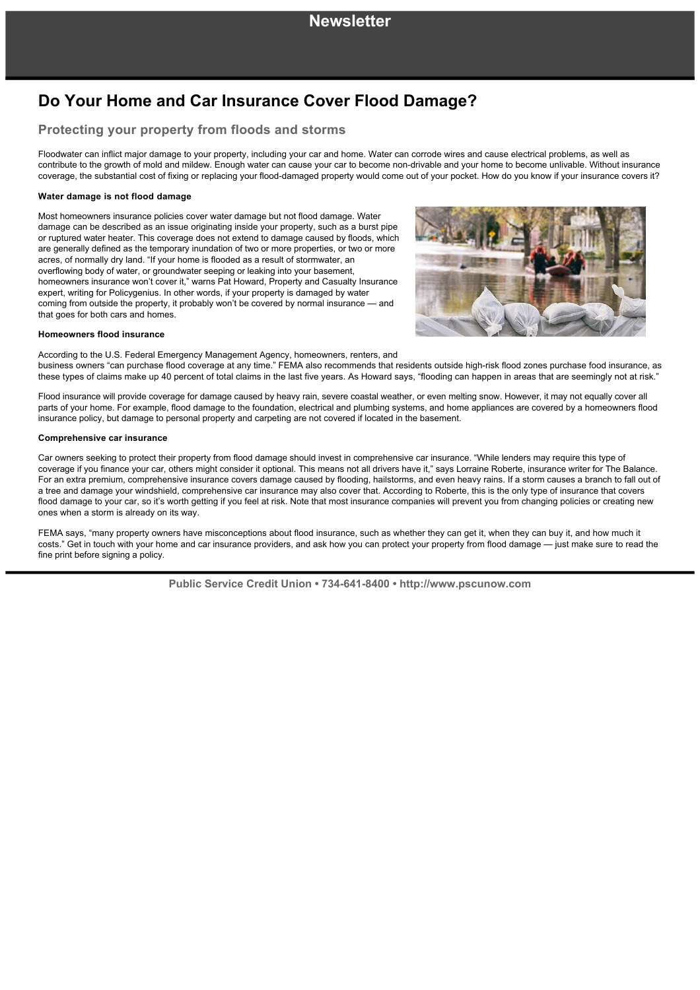# **Do Your Home and Car Insurance Cover Flood Damage?**

### **Protecting your property from floods and storms**

Floodwater can inflict major damage to your property, including your car and home. Water can corrode wires and cause electrical problems, as well as contribute to the growth of mold and mildew. Enough water can cause your car to become non-drivable and your home to become unlivable. Without insurance coverage, the substantial cost of fixing or replacing your flood-damaged property would come out of your pocket. How do you know if your insurance covers it?

### **Water damage is not flood damage**

Most homeowners insurance policies cover water damage but not flood damage. Water damage can be described as an issue originating inside your property, such as a burst pipe or ruptured water heater. This coverage does not extend to damage caused by floods, which are generally defined as the temporary inundation of two or more properties, or two or more acres, of normally dry land. "If your home is flooded as a result of stormwater, an overflowing body of water, or groundwater seeping or leaking into your basement, homeowners insurance won't cover it," warns Pat Howard, Property and Casualty Insurance expert, writing for Policygenius. In other words, if your property is damaged by water coming from outside the property, it probably won't be covered by normal insurance — and that goes for both cars and homes.



#### **Homeowners flood insurance**

According to the U.S. Federal Emergency Management Agency, homeowners, renters, and business owners "can purchase flood coverage at any time." FEMA also recommends that residents outside high-risk flood zones purchase food insurance, as these types of claims make up 40 percent of total claims in the last five years. As Howard says, "flooding can happen in areas that are seemingly not at risk."

Flood insurance will provide coverage for damage caused by heavy rain, severe coastal weather, or even melting snow. However, it may not equally cover all parts of your home. For example, flood damage to the foundation, electrical and plumbing systems, and home appliances are covered by a homeowners flood insurance policy, but damage to personal property and carpeting are not covered if located in the basement.

#### **Comprehensive car insurance**

Car owners seeking to protect their property from flood damage should invest in comprehensive car insurance. "While lenders may require this type of coverage if you finance your car, others might consider it optional. This means not all drivers have it," says Lorraine Roberte, insurance writer for The Balance. For an extra premium, comprehensive insurance covers damage caused by flooding, hailstorms, and even heavy rains. If a storm causes a branch to fall out of a tree and damage your windshield, comprehensive car insurance may also cover that. According to Roberte, this is the only type of insurance that covers flood damage to your car, so it's worth getting if you feel at risk. Note that most insurance companies will prevent you from changing policies or creating new ones when a storm is already on its way.

FEMA says, "many property owners have misconceptions about flood insurance, such as whether they can get it, when they can buy it, and how much it costs." Get in touch with your home and car insurance providers, and ask how you can protect your property from flood damage — just make sure to read the fine print before signing a policy.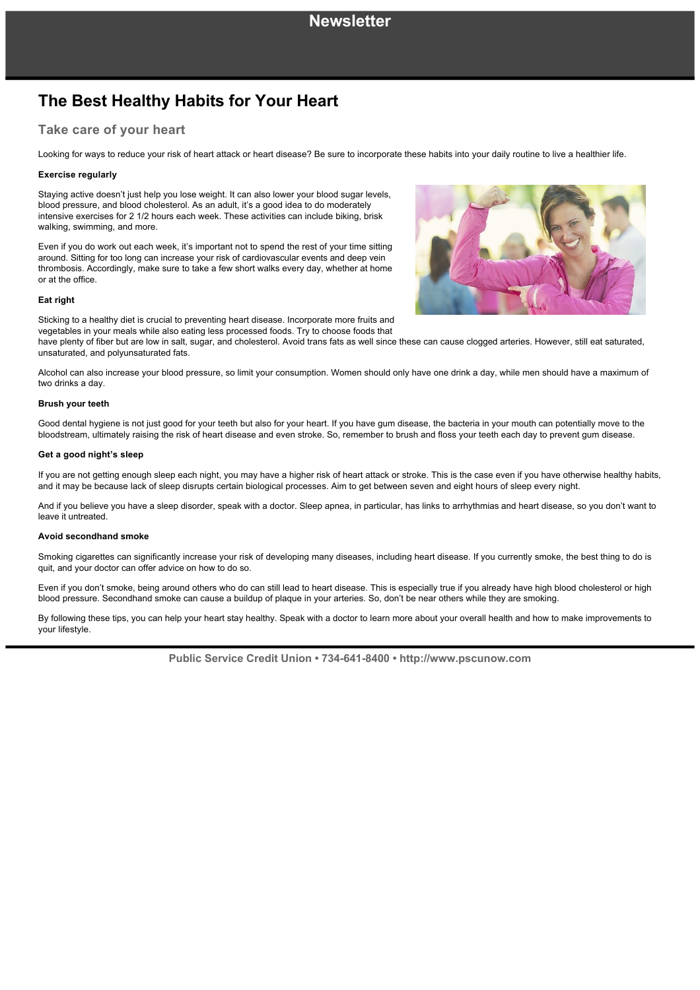# **The Best Healthy Habits for Your Heart**

### **Take care of your heart**

Looking for ways to reduce your risk of heart attack or heart disease? Be sure to incorporate these habits into your daily routine to live a healthier life.

### **Exercise regularly**

Staying active doesn't just help you lose weight. It can also lower your blood sugar levels, blood pressure, and blood cholesterol. As an adult, it's a good idea to do moderately intensive exercises for 2 1/2 hours each week. These activities can include biking, brisk walking, swimming, and more.

Even if you do work out each week, it's important not to spend the rest of your time sitting around. Sitting for too long can increase your risk of cardiovascular events and deep vein thrombosis. Accordingly, make sure to take a few short walks every day, whether at home or at the office.

#### **Eat right**

Sticking to a healthy diet is crucial to preventing heart disease. Incorporate more fruits and vegetables in your meals while also eating less processed foods. Try to choose foods that

have plenty of fiber but are low in salt, sugar, and cholesterol. Avoid trans fats as well since these can cause clogged arteries. However, still eat saturated, unsaturated, and polyunsaturated fats.

Alcohol can also increase your blood pressure, so limit your consumption. Women should only have one drink a day, while men should have a maximum of two drinks a day.

### **Brush your teeth**

Good dental hygiene is not just good for your teeth but also for your heart. If you have gum disease, the bacteria in your mouth can potentially move to the bloodstream, ultimately raising the risk of heart disease and even stroke. So, remember to brush and floss your teeth each day to prevent gum disease.

#### **Get a good night's sleep**

If you are not getting enough sleep each night, you may have a higher risk of heart attack or stroke. This is the case even if you have otherwise healthy habits, and it may be because lack of sleep disrupts certain biological processes. Aim to get between seven and eight hours of sleep every night.

And if you believe you have a sleep disorder, speak with a doctor. Sleep apnea, in particular, has links to arrhythmias and heart disease, so you don't want to leave it untreated.

#### **Avoid secondhand smoke**

Smoking cigarettes can significantly increase your risk of developing many diseases, including heart disease. If you currently smoke, the best thing to do is quit, and your doctor can offer advice on how to do so.

Even if you don't smoke, being around others who do can still lead to heart disease. This is especially true if you already have high blood cholesterol or high blood pressure. Secondhand smoke can cause a buildup of plaque in your arteries. So, don't be near others while they are smoking.

By following these tips, you can help your heart stay healthy. Speak with a doctor to learn more about your overall health and how to make improvements to your lifestyle.